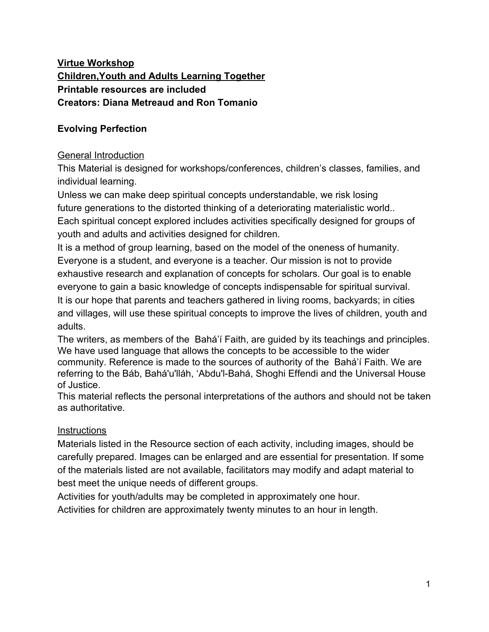# **Virtue Workshop Children,Youth and Adults Learning Together Printable resources are included Creators: Diana Metreaud and Ron Tomanio**

# **Evolving Perfection**

## General Introduction

This Material is designed for workshops/conferences, children's classes, families, and individual learning.

Unless we can make deep spiritual concepts understandable, we risk losing future generations to the distorted thinking of a deteriorating materialistic world.. Each spiritual concept explored includes activities specifically designed for groups of youth and adults and activities designed for children.

It is a method of group learning, based on the model of the oneness of humanity. Everyone is a student, and everyone is a teacher. Our mission is not to provide exhaustive research and explanation of concepts for scholars. Our goal is to enable everyone to gain a basic knowledge of concepts indispensable for spiritual survival. It is our hope that parents and teachers gathered in living rooms, backyards; in cities and villages, will use these spiritual concepts to improve the lives of children, youth and adults.

The writers, as members of the Bahá'í Faith, are guided by its teachings and principles. We have used language that allows the concepts to be accessible to the wider community. Reference is made to the sources of authority of the Bahá'í Faith. We are referring to the Báb, Bahá'u'lláh, 'Abdu'l-Bahá, Shoghi Effendi and the Universal House of Justice.

This material reflects the personal interpretations of the authors and should not be taken as authoritative.

## **Instructions**

Materials listed in the Resource section of each activity, including images, should be carefully prepared. Images can be enlarged and are essential for presentation. If some of the materials listed are not available, facilitators may modify and adapt material to best meet the unique needs of different groups.

Activities for youth/adults may be completed in approximately one hour.

Activities for children are approximately twenty minutes to an hour in length.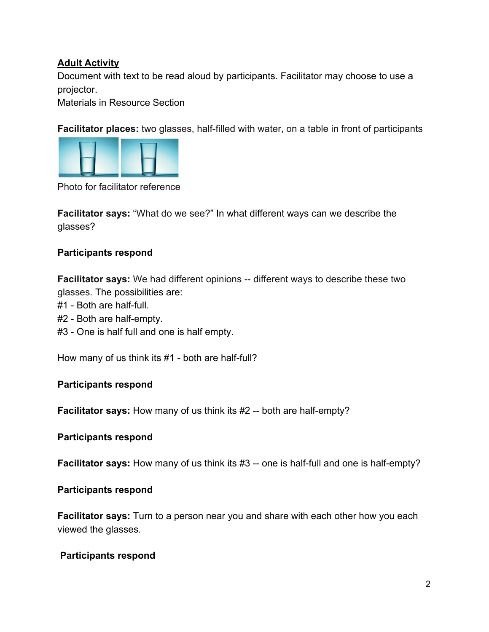## **Adult Activity**

Document with text to be read aloud by participants. Facilitator may choose to use a projector.

Materials in Resource Section

**Facilitator places:** two glasses, half-filled with water, on a table in front of participants



Photo for facilitator reference

**Facilitator says:** "What do we see?" In what different ways can we describe the glasses?

## **Participants respond**

**Facilitator says:** We had different opinions -- different ways to describe these two glasses. The possibilities are:

- #1 Both are half-full.
- #2 Both are half-empty.
- #3 One is half full and one is half empty.

How many of us think its #1 - both are half-full?

## **Participants respond**

**Facilitator says:** How many of us think its #2 -- both are half-empty?

#### **Participants respond**

**Facilitator says:** How many of us think its #3 -- one is half-full and one is half-empty?

#### **Participants respond**

**Facilitator says:** Turn to a person near you and share with each other how you each viewed the glasses.

#### **Participants respond**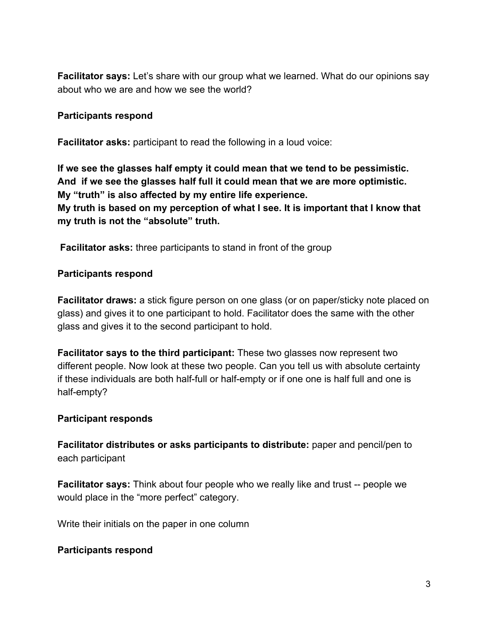**Facilitator says:** Let's share with our group what we learned. What do our opinions say about who we are and how we see the world?

### **Participants respond**

**Facilitator asks:** participant to read the following in a loud voice:

**If we see the glasses half empty it could mean that we tend to be pessimistic. And if we see the glasses half full it could mean that we are more optimistic. My "truth" is also affected by my entire life experience. My truth is based on my perception of what I see. It is important that I know that**

**my truth is not the "absolute" truth.**

**Facilitator asks:** three participants to stand in front of the group

### **Participants respond**

**Facilitator draws:** a stick figure person on one glass (or on paper/sticky note placed on glass) and gives it to one participant to hold. Facilitator does the same with the other glass and gives it to the second participant to hold.

**Facilitator says to the third participant:** These two glasses now represent two different people. Now look at these two people. Can you tell us with absolute certainty if these individuals are both half-full or half-empty or if one one is half full and one is half-empty?

#### **Participant responds**

**Facilitator distributes or asks participants to distribute:** paper and pencil/pen to each participant

**Facilitator says:** Think about four people who we really like and trust -- people we would place in the "more perfect" category.

Write their initials on the paper in one column

#### **Participants respond**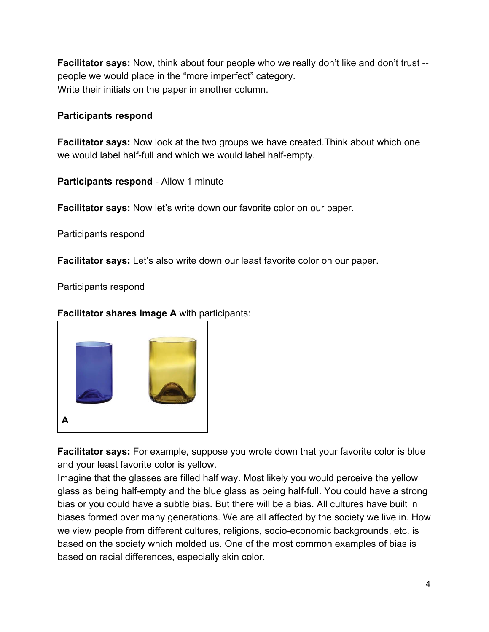**Facilitator says:** Now, think about four people who we really don't like and don't trust - people we would place in the "more imperfect" category. Write their initials on the paper in another column.

## **Participants respond**

**Facilitator says:** Now look at the two groups we have created.Think about which one we would label half-full and which we would label half-empty.

**Participants respond** - Allow 1 minute

**Facilitator says:** Now let's write down our favorite color on our paper.

Participants respond

**Facilitator says:** Let's also write down our least favorite color on our paper.

Participants respond

**Facilitator shares Image A** with participants:



**Facilitator says:** For example, suppose you wrote down that your favorite color is blue and your least favorite color is yellow.

Imagine that the glasses are filled half way. Most likely you would perceive the yellow glass as being half-empty and the blue glass as being half-full. You could have a strong bias or you could have a subtle bias. But there will be a bias. All cultures have built in biases formed over many generations. We are all affected by the society we live in. How we view people from different cultures, religions, socio-economic backgrounds, etc. is based on the society which molded us. One of the most common examples of bias is based on racial differences, especially skin color.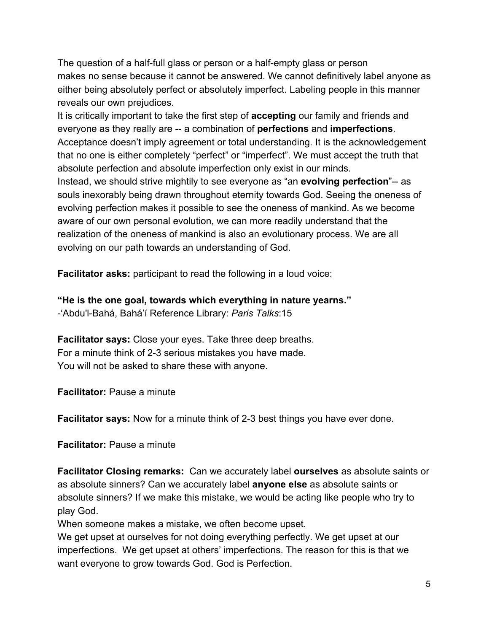The question of a half-full glass or person or a half-empty glass or person makes no sense because it cannot be answered. We cannot definitively label anyone as either being absolutely perfect or absolutely imperfect. Labeling people in this manner reveals our own prejudices.

It is critically important to take the first step of **accepting** our family and friends and everyone as they really are -- a combination of **perfections** and **imperfections**. Acceptance doesn't imply agreement or total understanding. It is the acknowledgement that no one is either completely "perfect" or "imperfect". We must accept the truth that absolute perfection and absolute imperfection only exist in our minds. Instead, we should strive mightily to see everyone as "an **evolving perfection**"-- as souls inexorably being drawn throughout eternity towards God. Seeing the oneness of evolving perfection makes it possible to see the oneness of mankind. As we become aware of our own personal evolution, we can more readily understand that the realization of the oneness of mankind is also an evolutionary process. We are all evolving on our path towards an understanding of God.

**Facilitator asks:** participant to read the following in a loud voice:

**"He is the one goal, towards which everything in nature yearns."** -'Abdu'l-Bahá, Bahá'í Reference Library: *Paris Talks*:15

**Facilitator says:** Close your eyes. Take three deep breaths. For a minute think of 2-3 serious mistakes you have made. You will not be asked to share these with anyone.

**Facilitator:** Pause a minute

**Facilitator says:** Now for a minute think of 2-3 best things you have ever done.

**Facilitator:** Pause a minute

**Facilitator Closing remarks:** Can we accurately label **ourselves** as absolute saints or as absolute sinners? Can we accurately label **anyone else** as absolute saints or absolute sinners? If we make this mistake, we would be acting like people who try to play God.

When someone makes a mistake, we often become upset.

We get upset at ourselves for not doing everything perfectly. We get upset at our imperfections. We get upset at others' imperfections. The reason for this is that we want everyone to grow towards God. God is Perfection.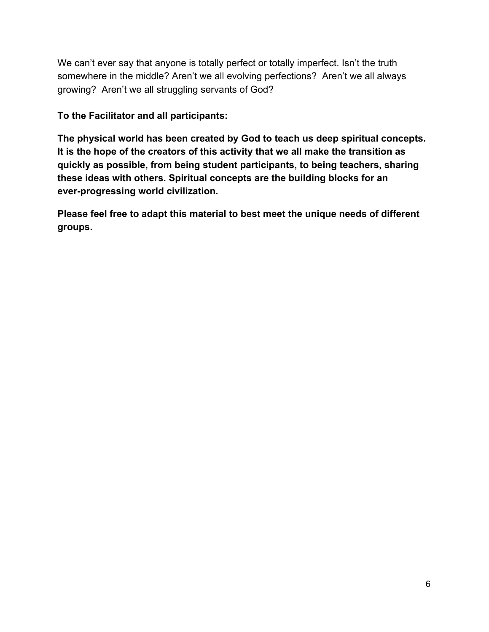We can't ever say that anyone is totally perfect or totally imperfect. Isn't the truth somewhere in the middle? Aren't we all evolving perfections? Aren't we all always growing? Aren't we all struggling servants of God?

**To the Facilitator and all participants:**

**The physical world has been created by God to teach us deep spiritual concepts. It is the hope of the creators of this activity that we all make the transition as quickly as possible, from being student participants, to being teachers, sharing these ideas with others. Spiritual concepts are the building blocks for an ever-progressing world civilization.**

**Please feel free to adapt this material to best meet the unique needs of different groups.**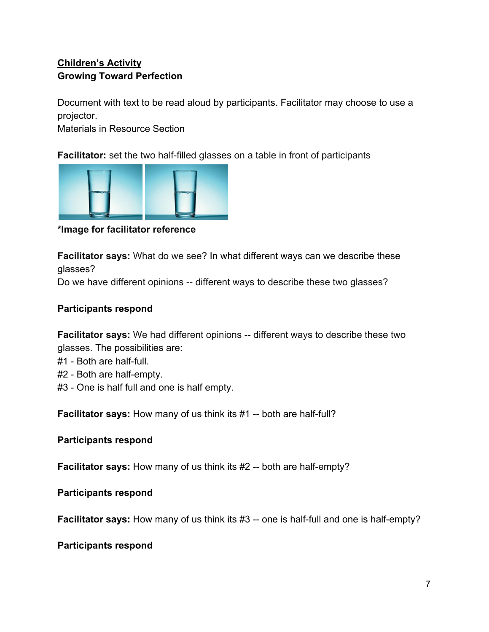# **Children's Activity Growing Toward Perfection**

Document with text to be read aloud by participants. Facilitator may choose to use a projector.

Materials in Resource Section

**Facilitator:** set the two half-filled glasses on a table in front of participants



**\*Image for facilitator reference**

**Facilitator says:** What do we see? In what different ways can we describe these glasses?

Do we have different opinions -- different ways to describe these two glasses?

## **Participants respond**

**Facilitator says:** We had different opinions -- different ways to describe these two glasses. The possibilities are:

- #1 Both are half-full.
- #2 Both are half-empty.
- #3 One is half full and one is half empty.

**Facilitator says:** How many of us think its #1 -- both are half-full?

#### **Participants respond**

**Facilitator says:** How many of us think its #2 -- both are half-empty?

## **Participants respond**

**Facilitator says:** How many of us think its #3 -- one is half-full and one is half-empty?

#### **Participants respond**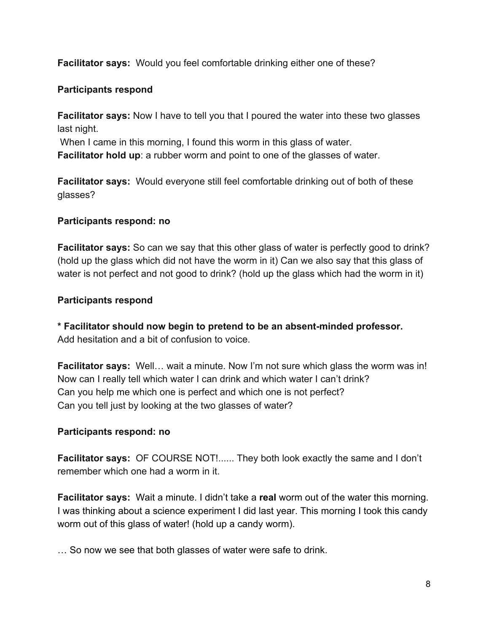**Facilitator says:** Would you feel comfortable drinking either one of these?

## **Participants respond**

**Facilitator says:** Now I have to tell you that I poured the water into these two glasses last night.

When I came in this morning, I found this worm in this glass of water.

**Facilitator hold up**: a rubber worm and point to one of the glasses of water.

**Facilitator says:** Would everyone still feel comfortable drinking out of both of these glasses?

## **Participants respond: no**

**Facilitator says:** So can we say that this other glass of water is perfectly good to drink? (hold up the glass which did not have the worm in it) Can we also say that this glass of water is not perfect and not good to drink? (hold up the glass which had the worm in it)

## **Participants respond**

**\* Facilitator should now begin to pretend to be an absent-minded professor.** Add hesitation and a bit of confusion to voice.

**Facilitator says:** Well… wait a minute. Now I'm not sure which glass the worm was in! Now can I really tell which water I can drink and which water I can't drink? Can you help me which one is perfect and which one is not perfect? Can you tell just by looking at the two glasses of water?

## **Participants respond: no**

**Facilitator says:** OF COURSE NOT!...... They both look exactly the same and I don't remember which one had a worm in it.

**Facilitator says:** Wait a minute. I didn't take a **real** worm out of the water this morning. I was thinking about a science experiment I did last year. This morning I took this candy worm out of this glass of water! (hold up a candy worm).

… So now we see that both glasses of water were safe to drink.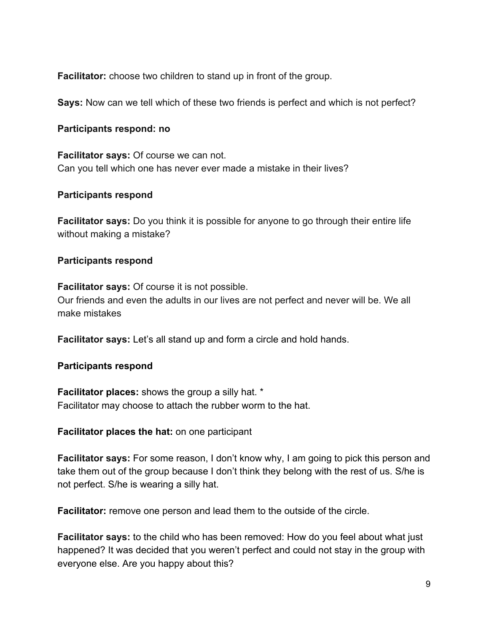**Facilitator:** choose two children to stand up in front of the group.

**Says:** Now can we tell which of these two friends is perfect and which is not perfect?

#### **Participants respond: no**

**Facilitator says:** Of course we can not. Can you tell which one has never ever made a mistake in their lives?

## **Participants respond**

**Facilitator says:** Do you think it is possible for anyone to go through their entire life without making a mistake?

### **Participants respond**

**Facilitator says:** Of course it is not possible. Our friends and even the adults in our lives are not perfect and never will be. We all make mistakes

**Facilitator says:** Let's all stand up and form a circle and hold hands.

#### **Participants respond**

**Facilitator places:** shows the group a silly hat. \* Facilitator may choose to attach the rubber worm to the hat.

**Facilitator places the hat:** on one participant

**Facilitator says:** For some reason, I don't know why, I am going to pick this person and take them out of the group because I don't think they belong with the rest of us. S/he is not perfect. S/he is wearing a silly hat.

**Facilitator:** remove one person and lead them to the outside of the circle.

**Facilitator says:** to the child who has been removed: How do you feel about what just happened? It was decided that you weren't perfect and could not stay in the group with everyone else. Are you happy about this?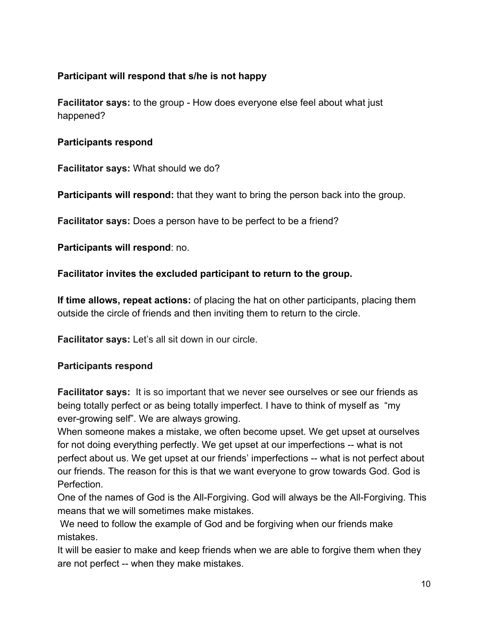## **Participant will respond that s/he is not happy**

**Facilitator says:** to the group - How does everyone else feel about what just happened?

## **Participants respond**

**Facilitator says:** What should we do?

**Participants will respond:** that they want to bring the person back into the group.

**Facilitator says:** Does a person have to be perfect to be a friend?

**Participants will respond**: no.

## **Facilitator invites the excluded participant to return to the group.**

**If time allows, repeat actions:** of placing the hat on other participants, placing them outside the circle of friends and then inviting them to return to the circle.

**Facilitator says:** Let's all sit down in our circle.

## **Participants respond**

**Facilitator says:** It is so important that we never see ourselves or see our friends as being totally perfect or as being totally imperfect. I have to think of myself as "my ever-growing self". We are always growing.

When someone makes a mistake, we often become upset. We get upset at ourselves for not doing everything perfectly. We get upset at our imperfections -- what is not perfect about us. We get upset at our friends' imperfections -- what is not perfect about our friends. The reason for this is that we want everyone to grow towards God. God is Perfection.

One of the names of God is the All-Forgiving. God will always be the All-Forgiving. This means that we will sometimes make mistakes.

 We need to follow the example of God and be forgiving when our friends make mistakes.

It will be easier to make and keep friends when we are able to forgive them when they are not perfect -- when they make mistakes.